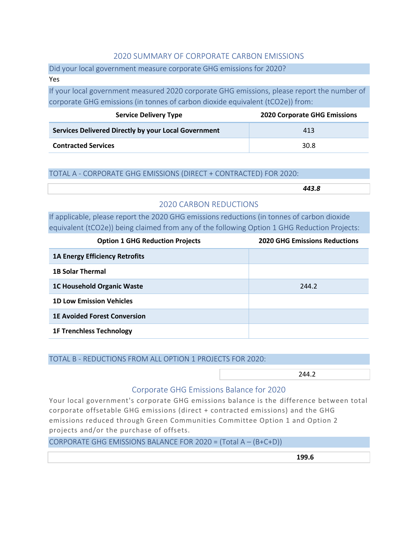#### 2020 SUMMARY OF CORPORATE CARBON EMISSIONS

Did your local government measure corporate GHG emissions for 2020?

#### Yes

If your local government measured 2020 corporate GHG emissions, please report the number of corporate GHG emissions (in tonnes of carbon dioxide equivalent (tCO2e)) from:

| <b>Service Delivery Type</b>                         | <b>2020 Corporate GHG Emissions</b> |
|------------------------------------------------------|-------------------------------------|
| Services Delivered Directly by your Local Government | 413                                 |
| <b>Contracted Services</b>                           | 30.8                                |

#### TOTAL A - CORPORATE GHG EMISSIONS (DIRECT + CONTRACTED) FOR 2020:

*443.8*

#### 2020 CARBON REDUCTIONS

If applicable, please report the 2020 GHG emissions reductions (in tonnes of carbon dioxide equivalent (tCO2e)) being claimed from any of the following Option 1 GHG Reduction Projects:

| <b>Option 1 GHG Reduction Projects</b> | <b>2020 GHG Emissions Reductions</b> |
|----------------------------------------|--------------------------------------|
| <b>1A Energy Efficiency Retrofits</b>  |                                      |
| <b>1B Solar Thermal</b>                |                                      |
| <b>1C Household Organic Waste</b>      | 244.2                                |
| <b>1D Low Emission Vehicles</b>        |                                      |
| <b>1E Avoided Forest Conversion</b>    |                                      |
| <b>1F Trenchless Technology</b>        |                                      |

TOTAL B - REDUCTIONS FROM ALL OPTION 1 PROJECTS FOR 2020:

244.2

#### Corporate GHG Emissions Balance for 2020

Your local government's corporate GHG emissions balance is the difference between total corporate offsetable GHG emissions (direct + contracted emissions) and the GHG emissions reduced through Green Communities Committee Option 1 and Option 2 projects and/or the purchase of offsets.

CORPORATE GHG EMISSIONS BALANCE FOR 2020 = (Total A – (B+C+D))

 **199.6**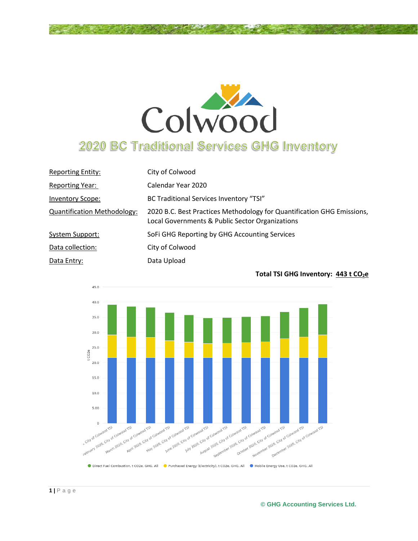

# 2020 BC Traditional Services GHG Inventory

| <b>Reporting Entity:</b>           | City of Colwood                                                                                                           |
|------------------------------------|---------------------------------------------------------------------------------------------------------------------------|
| <b>Reporting Year:</b>             | Calendar Year 2020                                                                                                        |
| Inventory Scope:                   | BC Traditional Services Inventory "TSI"                                                                                   |
| <b>Quantification Methodology:</b> | 2020 B.C. Best Practices Methodology for Quantification GHG Emissions,<br>Local Governments & Public Sector Organizations |
| System Support:                    | SoFi GHG Reporting by GHG Accounting Services                                                                             |
| Data collection:                   | City of Colwood                                                                                                           |
| Data Entry:                        | Data Upload                                                                                                               |



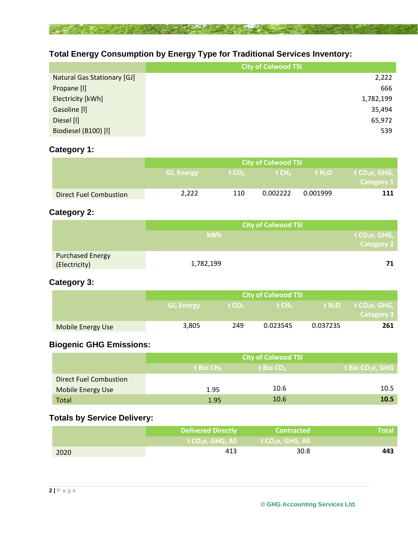

## **Total Energy Consumption by Energy Type for Traditional Services Inventory:**

|                                    | <b>City of Colwood TSI</b> |  |
|------------------------------------|----------------------------|--|
| <b>Natural Gas Stationary [GJ]</b> | 2,222                      |  |
| Propane [I]                        | 666                        |  |
| Electricity [kWh]                  | 1,782,199                  |  |
| Gasoline [I]                       | 35,494                     |  |
| Diesel [I]                         | 65,972                     |  |
| Biodiesel (B100) [I]               | 539                        |  |

## **Category 1:**

|                               | <b>City of Colwood TSI</b> |         |          |                |                                                      |
|-------------------------------|----------------------------|---------|----------|----------------|------------------------------------------------------|
|                               | GJ, Energy                 | ਾ t CO∍ |          | $tCHa$ $t N2O$ | $\mathsf{t}$ t CO <sub>2</sub> e, GHG,<br>Category 1 |
| <b>Direct Fuel Combustion</b> | 2.222                      | 110     | 0.002222 | 0.001999       | 111                                                  |

**Category 2:**

|                                          | <b>City of Colwood TSI</b> |                                                |
|------------------------------------------|----------------------------|------------------------------------------------|
|                                          | kWh                        | t CO <sub>2</sub> e, GHG,<br><b>Category 2</b> |
| <b>Purchased Energy</b><br>(Electricity) | 1,782,199                  | 71                                             |

**Category 3:**

|                   | <b>City of Colwood TSI</b> |                   |                          |          |                                                                         |
|-------------------|----------------------------|-------------------|--------------------------|----------|-------------------------------------------------------------------------|
|                   | GJ, Energy                 | t CO <sub>2</sub> | <b>t</b> CH <sub>4</sub> |          | $\mathsf{I}$ t N <sub>2</sub> O t CO <sub>2</sub> e, GHG,<br>Category 3 |
| Mobile Energy Use | 3,805                      | 249               | 0.023545                 | 0.037235 | 261                                                                     |

## **Biogenic GHG Emissions:**

|                               | <b>City of Colwood TSI</b> |                       |                      |
|-------------------------------|----------------------------|-----------------------|----------------------|
|                               | t Bio CH <sub>4</sub>      | t Bio CO <sub>2</sub> | t Bio CO $_2$ e, GHG |
| <b>Direct Fuel Combustion</b> |                            |                       |                      |
| Mobile Energy Use             | 1.95                       | 10.6                  | 10.5                 |
| Total                         | 1.95                       | 10.6                  | 10.5                 |

### **Totals by Service Delivery:**

|      | <b>Delivered Directly</b> | <b>Contracted</b>                                               | \Total \ |
|------|---------------------------|-----------------------------------------------------------------|----------|
|      |                           | $t$ CO <sub>2</sub> e, GHG, All $t$ CO <sub>2</sub> e, GHG, All |          |
| 2020 | 413                       | 30.8                                                            | 443      |